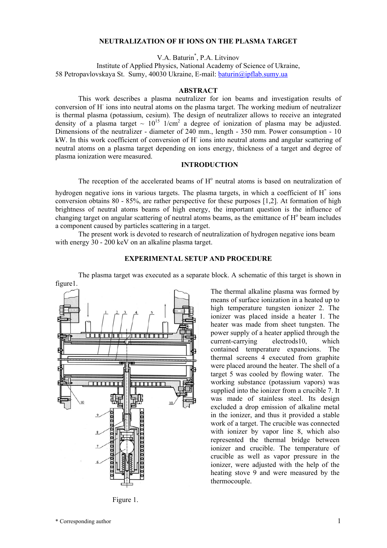#### **NEUTRALIZATION OF H- IONS ON THE PLASMA TARGET**

V.A. Baturin\* , P.A. Litvinov

Institute of Applied Physics, National Academy of Science of Ukraine, 58 Petropavlovskaya St. Sumy, 40030 Ukraine, E-mail: [baturin@ipflab.sumy.ua](mailto:baturin@ipflab.sumy.ua)

#### **ABSTRACT**

This work describes a plasma neutralizer for ion beams and investigation results of conversion of H- ions into neutral atoms on the plasma target. The working medium of neutralizer is thermal plasma (potassium, cesium). The design of neutralizer allows to receive an integrated density of a plasma target  $\sim 10^{15}$  1/cm<sup>2</sup> a degree of ionization of plasma may be adjusted. Dimensions of the neutralizer - diameter of 240 mm., length - 350 mm. Power consumption - 10 kW. In this work coefficient of conversion of H ions into neutral atoms and angular scattering of neutral atoms on a plasma target depending on ions energy, thickness of a target and degree of plasma ionization were measured.

# **INTRODUCTION**

The reception of the accelerated beams of  $H<sup>o</sup>$  neutral atoms is based on neutralization of

hydrogen negative ions in various targets. The plasma targets, in which a coefficient of H<sup>-</sup> ions conversion obtains 80 - 85%, are rather perspective for these purposes [1,2]. At formation of high brightness of neutral atoms beams of high energy, the important question is the influence of changing target on angular scattering of neutral atoms beams, as the emittance of  $H<sup>o</sup>$  beam includes a component caused by particles scattering in a target.

The present work is devoted to research of neutralization of hydrogen negative ions beam with energy 30 - 200 keV on an alkaline plasma target.



# **EXPERIMENTAL SETUP AND PROCEDURE**

The plasma target was executed as a separate block. A schematic of this target is shown in

Figure 1.

The thermal alkaline plasma was formed by means of surface ionization in a heated up to high temperature tungsten ionizer 2. The ionizer was placed inside a heater 1. The heater was made from sheet tungsten. The power supply of a heater applied through the current-carrying electrods10, which contained temperature expancions. The thermal screens 4 executed from graphite were placed around the heater. The shell of a target 5 was cooled by flowing water. The working substance (potassium vapors) was supplied into the ionizer from a crucible 7. It was made of stainless steel. Its design excluded a drop emission of alkaline metal in the ionizer, and thus it provided a stable work of a target. The crucible was connected with ionizer by vapor line 8, which also represented the thermal bridge between ionizer and crucible. The temperature of crucible as well as vapor pressure in the ionizer, were adjusted with the help of the heating stove 9 and were measured by the thermocouple.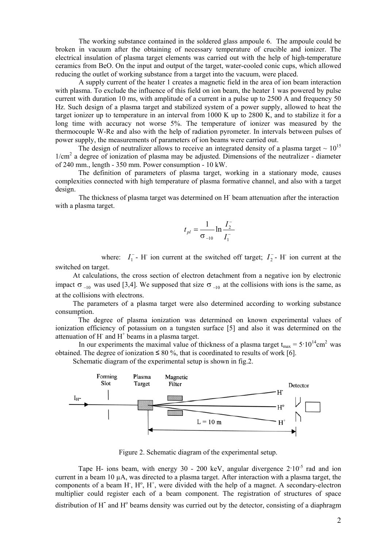The working substance contained in the soldered glass ampoule 6. The ampoule could be broken in vacuum after the obtaining of necessary temperature of crucible and ionizer. The electrical insulation of plasma target elements was carried out with the help of high-temperature ceramics from BeO. On the input and output of the target, water-cooled conic cups, which allowed reducing the outlet of working substance from a target into the vacuum, were placed.

A supply current of the heater 1 creates a magnetic field in the area of ion beam interaction with plasma. To exclude the influence of this field on ion beam, the heater 1 was powered by pulse current with duration 10 ms, with amplitude of a current in a pulse up to 2500 A and frequency 50 Hz. Such design of a plasma target and stabilized system of a power supply, allowed to heat the target ionizer up to temperature in an interval from 1000 K up to 2800 K, and to stabilize it for a long time with accuracy not worse 5%. The temperature of ionizer was measured by the thermocouple W-Re and also with the help of radiation pyrometer. In intervals between pulses of power supply, the measurements of parameters of ion beams were carried out.

The design of neutralizer allows to receive an integrated density of a plasma target  $\sim 10^{15}$ 1/cm2 a degree of ionization of plasma may be adjusted. Dimensions of the neutralizer - diameter of 240 mm., length - 350 mm. Power consumption - 10 kW.

The definition of parameters of plasma target, working in a stationary mode, causes complexities connected with high temperature of plasma formative channel, and also with a target design.

The thickness of plasma target was determined on H<sup>-</sup> beam attenuation after the interaction with a plasma target.

$$
t_{pl} = \frac{1}{\sigma_{-10}} \ln \frac{I_2^-}{I_1^-}
$$

where:  $I_1^-$ - H<sup>-</sup> ion current at the switched off target;  $I_2^-$ - H<sup>-</sup> ion current at the switched on target.

At calculations, the cross section of electron detachment from a negative ion by electronic impact  $\sigma$ <sub>-10</sub> was used [3,4]. We supposed that size  $\sigma$ <sub>-10</sub> at the collisions with ions is the same, as at the collisions with electrons.

The parameters of a plasma target were also determined according to working substance consumption.

The degree of plasma ionization was determined on known experimental values of ionization efficiency of potassium on a tungsten surface [5] and also it was determined on the attenuation of H $\overline{\phantom{a}}$  and H $\overline{\phantom{a}}$  beams in a plasma target.

In our experiments the maximal value of thickness of a plasma target  $t_{max} = 5.10^{14}$ cm<sup>2</sup> was obtained. The degree of ionization ≤ 80 %, that is coordinated to results of work [6].

Schematic diagram of the experimental setup is shown in fig.2.



Figure 2. Schematic diagram of the experimental setup.

Tape H- ions beam, with energy 30 - 200 keV, angular divergence  $2.10^{-5}$  rad and ion current in a beam 10 µА, was directed to a plasma target. After interaction with a plasma target, the components of a beam  $H$ ,  $H^{\circ}$ ,  $H^{+}$ , were divided with the help of a magnet. A secondary-electron multiplier could register each of a beam component. The registration of structures of space

distribution of H<sup>-</sup> and H<sup>o</sup> beams density was curried out by the detector, consisting of a diaphragm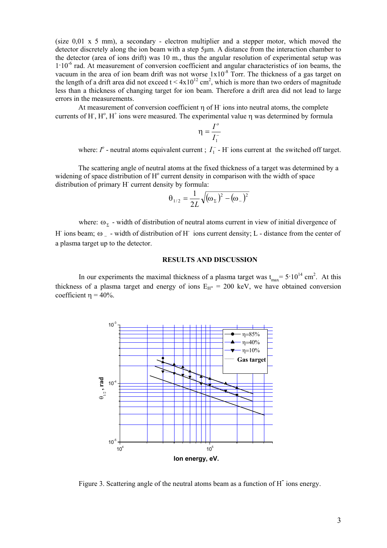(size 0,01 х 5 mm), a secondary - electron multiplier and a stepper motor, which moved the detector discretely along the ion beam with a step 5µm. A distance from the interaction chamber to the detector (area of ions drift) was 10 m., thus the angular resolution of experimental setup was  $1·10<sup>-6</sup>$  rad. At measurement of conversion coefficient and angular characteristics of ion beams, the vacuum in the area of ion beam drift was not worse  $1x10^{-8}$  Torr. The thickness of a gas target on the length of a drift area did not exceed  $t < 4x10^{12}$  cm<sup>2</sup>, which is more than two orders of magnitude less than a thickness of changing target for ion beam. Therefore a drift area did not lead to large errors in the measurements.

At measurement of conversion coefficient  $\eta$  of H ions into neutral atoms, the complete currents of H<sup>-</sup>, H<sup>o</sup>, H<sup>+</sup> ions were measured. The experimental value  $\eta$  was determined by formula

$$
\eta = \frac{I^o}{I_1^-}
$$

where:  $I^o$  - neutral atoms equivalent current ;  $I_1^-$  - H ions current at the switched off target.

The scattering angle of neutral atoms at the fixed thickness of a target was determined by a widening of space distribution of  $H^{\circ}$  current density in comparison with the width of space distribution of primary H<sup>-</sup> current density by formula:

$$
\theta_{1/2} = \frac{1}{2L} \sqrt{(\omega_{\Sigma})^2 - (\omega_{-})^2}
$$

where:  $\omega_{\Sigma}$  - width of distribution of neutral atoms current in view of initial divergence of H ions beam;  $\omega$  – width of distribution of H ions current density; L - distance from the center of a plasma target up to the detector.

#### **RESULTS AND DISCUSSION**

In our experiments the maximal thickness of a plasma target was  $t_{max} = 5.10^{14}$  cm<sup>2</sup>. At this thickness of a plasma target and energy of ions  $E_{H^-}$  = 200 keV, we have obtained conversion coefficient  $\eta = 40\%$ .



Figure 3. Scattering angle of the neutral atoms beam as a function of H<sup>-</sup> ions energy.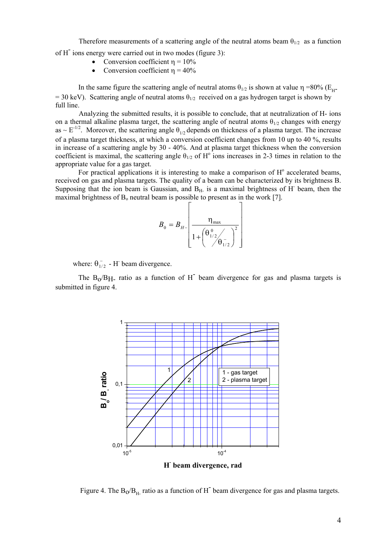Therefore measurements of a scattering angle of the neutral atoms beam  $\theta_{1/2}$  as a function of H<sup>-</sup> ions energy were carried out in two modes (figure 3):

- Conversion coefficient  $\eta = 10\%$
- Conversion coefficient  $n = 40%$

In the same figure the scattering angle of neutral atoms  $θ<sub>1/2</sub>$  is shown at value η =80% (E<sub>H</sub>-= 30 keV). Scattering angle of neutral atoms  $\theta_{1/2}$  received on a gas hydrogen target is shown by full line.

Analyzing the submitted results, it is possible to conclude, that at neutralization of Н- ions on a thermal alkaline plasma target, the scattering angle of neutral atoms  $\theta_{1/2}$  changes with energy as  $\sim$  E<sup>-1/2</sup>. Moreover, the scattering angle  $\theta_{1/2}$  depends on thickness of a plasma target. The increase of a plasma target thickness, at which a conversion coefficient changes from 10 up to 40 %, results in increase of a scattering angle by 30 - 40%. And at plasma target thickness when the conversion coefficient is maximal, the scattering angle  $\theta_{1/2}$  of H<sup>o</sup> ions increases in 2-3 times in relation to the appropriate value for a gas target.

For practical applications it is interesting to make a comparison of  $H<sup>o</sup>$  accelerated beams, received on gas and plasma targets. The quality of a beam can be characterized by its brightness В. Supposing that the ion beam is Gaussian, and  $B<sub>H</sub>$  is a maximal brightness of H- beam, then the maximal brightness of  $B_0$  neutral beam is possible to present as in the work [7].

$$
B_0 = B_{H-} \left[ \frac{\eta_{\text{max}}}{1 + \left( \frac{\theta_{1/2}^0}{\theta_{1/2}^-} \right)^2} \right]
$$

where:  $\theta_{1/2}^-$  - H beam divergence.

The  $B_0/B_H$ - ratio as a function of  $H^-$  beam divergence for gas and plasma targets is submitted in figure 4.



Figure 4. The  $B_0/B_H$  ratio as a function of H<sup>-</sup> beam divergence for gas and plasma targets.